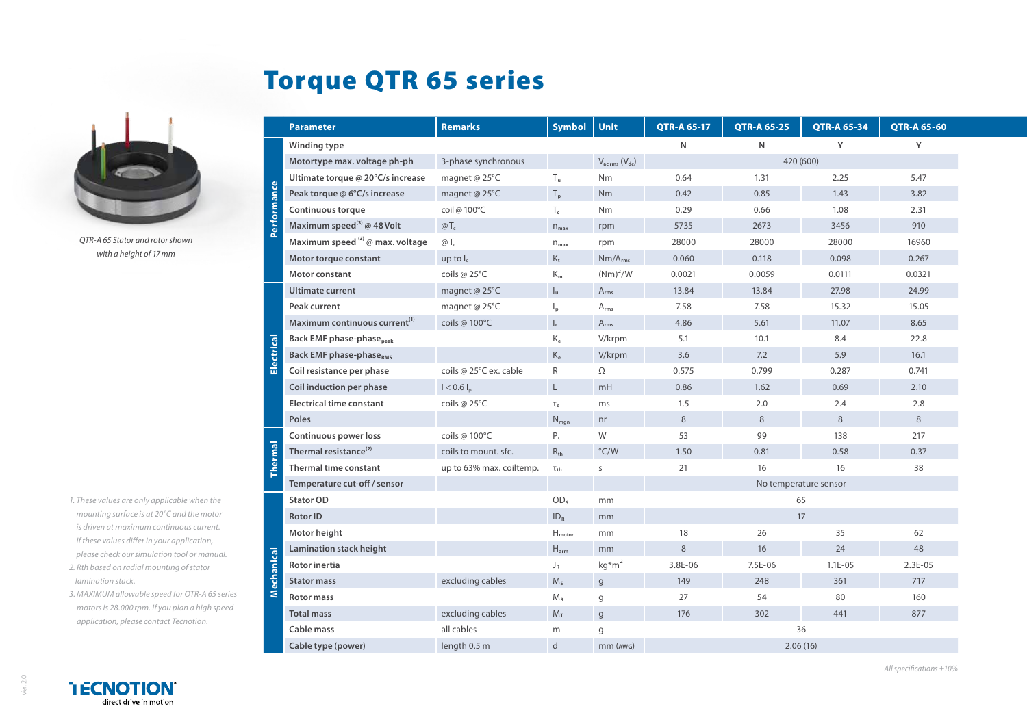## Torque QTR 65 series



*QTR-A 65 Stator and rotor shown with a height of 17mm*

- *1. These values are only applicable when the mounting surface is at 20°C and the motor is driven at maximum continuous current. If these values differ in your application, please check our simulation tool or manual.*
- *2. Rth based on radial mounting of stator lamination stack.*
- *3. MAXIMUM allowable speed for QTR-A 65 series motors is 28.000 rpm. If you plan a high speed application, please contact Tecnotion.*

|                           | <b>Parameter</b>                            | <b>Remarks</b>           | <b>Symbol</b>             | Unit                                | <b>QTR-A 65-17</b> | <b>QTR-A 65-25</b>    | <b>QTR-A 65-34</b> | <b>QTR-A 65-60</b> |  |
|---------------------------|---------------------------------------------|--------------------------|---------------------------|-------------------------------------|--------------------|-----------------------|--------------------|--------------------|--|
| erformance                | Winding type                                |                          |                           |                                     | N                  | N                     | Y                  | Y                  |  |
|                           | Motortype max. voltage ph-ph                | 3-phase synchronous      |                           | $V_{\text{ac rms}} (V_{\text{dc}})$ |                    | 420 (600)             |                    |                    |  |
|                           | Ultimate torque @ 20°C/s increase           | magnet @ 25°C            | $T_{\rm u}$               | <b>Nm</b>                           | 0.64               | 1.31                  | 2.25               | 5.47               |  |
|                           | Peak torque @ 6°C/s increase                | magnet @ 25°C            | $T_{p}$                   | Nm                                  | 0.42               | 0.85                  | 1.43               | 3.82               |  |
|                           | <b>Continuous torque</b>                    | coil @ 100°C             | $T_c$                     | <b>Nm</b>                           | 0.29               | 0.66                  | 1.08               | 2.31               |  |
|                           | Maximum speed <sup>(3)</sup> @ 48 Volt      | $\omega T_c$             | $n_{max}$                 | rpm                                 | 5735               | 2673                  | 3456               | 910                |  |
|                           | Maximum speed (3) @ max. voltage            | $@T_c$                   | $n_{max}$                 | rpm                                 | 28000              | 28000                 | 28000              | 16960              |  |
|                           | Motor torque constant                       | up to $I_c$              | $K_t$                     | $Nm/A_{rms}$                        | 0.060              | 0.118                 | 0.098              | 0.267              |  |
|                           | Motor constant                              | coils @ 25°C             | $K_m$                     | $(Nm)^2/W$                          | 0.0021             | 0.0059                | 0.0111             | 0.0321             |  |
| $\overline{c}$<br>Electri | <b>Ultimate current</b>                     | magnet @ 25°C            | $\mathsf{I}_{\mathsf{u}}$ | $A_{rms}$                           | 13.84              | 13.84                 | 27.98              | 24.99              |  |
|                           | Peak current                                | magnet @ 25°C            | $\mathsf{I}_{\mathsf{p}}$ | $A_{rms}$                           | 7.58               | 7.58                  | 15.32              | 15.05              |  |
|                           | Maximum continuous current <sup>(1)</sup>   | coils @ 100°C            | $\mathsf{I}_{\mathsf{c}}$ | $A_{rms}$                           | 4.86               | 5.61                  | 11.07              | 8.65               |  |
|                           | <b>Back EMF phase-phase</b> <sub>peak</sub> |                          | $K_e$                     | V/krpm                              | 5.1                | 10.1                  | 8.4                | 22.8               |  |
|                           | <b>Back EMF phase-phaseRMS</b>              |                          | $\rm K_e$                 | V/krpm                              | 3.6                | 7.2                   | 5.9                | 16.1               |  |
|                           | Coil resistance per phase                   | coils @ 25°C ex. cable   | R                         | $\Omega$                            | 0.575              | 0.799                 | 0.287              | 0.741              |  |
|                           | Coil induction per phase                    | $I < 0.6 I_n$            | $\mathsf L$               | mH                                  | 0.86               | 1.62                  | 0.69               | 2.10               |  |
|                           | <b>Electrical time constant</b>             | coils @ 25°C             | $T_e$                     | ms                                  | 1.5                | 2.0                   | 2.4                | 2.8                |  |
|                           | Poles                                       |                          | $N_{\text{map}}$          | nr                                  | 8                  | 8                     | 8                  | 8                  |  |
| hermal                    | Continuous power loss                       | coils @ 100°C            | $P_c$                     | W                                   | 53                 | 99                    | 138                | 217                |  |
|                           | Thermal resistance <sup>(2)</sup>           | coils to mount, sfc.     | $R_{th}$                  | $\degree$ C/W                       | 1.50               | 0.81                  | 0.58               | 0.37               |  |
|                           | <b>Thermal time constant</b>                | up to 63% max. coiltemp. | $\tau_{\text{th}}$        | S                                   | 21                 | 16                    | 16                 | 38                 |  |
|                           | Temperature cut-off / sensor                |                          |                           |                                     |                    | No temperature sensor |                    |                    |  |
| echanical<br>Σ            | <b>Stator OD</b>                            |                          | OD <sub>s</sub>           | mm                                  |                    | 65                    |                    |                    |  |
|                           | <b>Rotor ID</b>                             |                          | ID <sub>R</sub>           | mm                                  |                    | 17                    |                    |                    |  |
|                           | Motor height                                |                          | $H_{motor}$               | mm                                  | 18                 | 26                    | 35                 | 62                 |  |
|                           | Lamination stack height                     |                          | $H_{arm}$                 | mm                                  | 8                  | 16                    | 24                 | 48                 |  |
|                           | <b>Rotor inertia</b>                        |                          | $J_R$                     | $kg*m2$                             | 3.8E-06            | 7.5E-06               | $1.1E - 05$        | $2.3E-05$          |  |
|                           | <b>Stator mass</b>                          | excluding cables         | $M_s$                     | $\mathbf{g}$                        | 149                | 248                   | 361                | 717                |  |
|                           | <b>Rotor mass</b>                           |                          | $M_R$                     | g                                   | 27                 | 54                    | 80                 | 160                |  |
|                           | <b>Total mass</b>                           | excluding cables         | $M_T$                     | $\mathsf{g}$                        | 176                | 302                   | 441                | 877                |  |
|                           | Cable mass                                  | all cables               | m                         | g                                   | 36                 |                       |                    |                    |  |
|                           | Cable type (power)                          | length 0.5 m             | d                         | $mm$ ( $AWG$ )                      | 2.06(16)           |                       |                    |                    |  |

Ver. 2.0